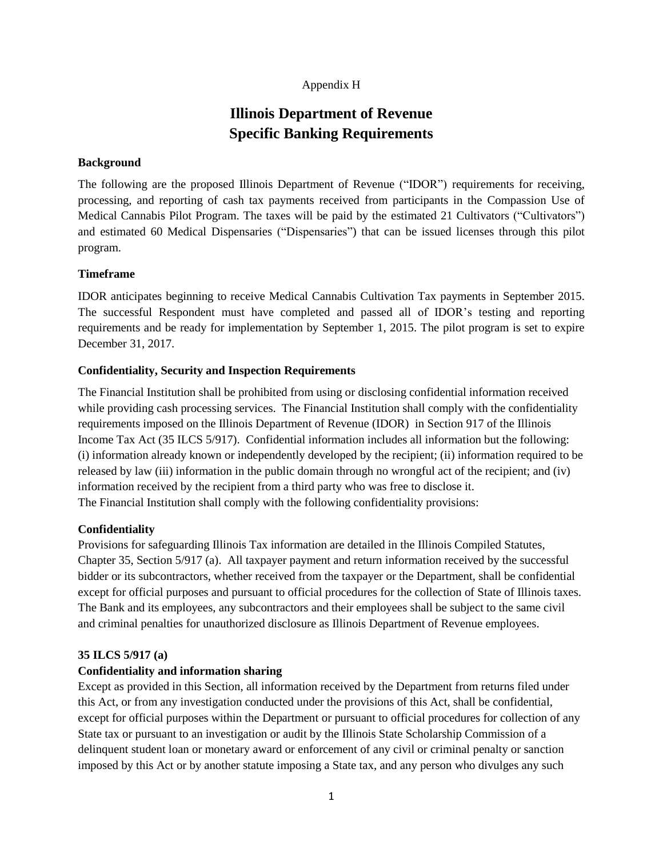# Appendix H

# **Illinois Department of Revenue Specific Banking Requirements**

# **Background**

The following are the proposed Illinois Department of Revenue ("IDOR") requirements for receiving, processing, and reporting of cash tax payments received from participants in the Compassion Use of Medical Cannabis Pilot Program. The taxes will be paid by the estimated 21 Cultivators ("Cultivators") and estimated 60 Medical Dispensaries ("Dispensaries") that can be issued licenses through this pilot program.

# **Timeframe**

IDOR anticipates beginning to receive Medical Cannabis Cultivation Tax payments in September 2015. The successful Respondent must have completed and passed all of IDOR's testing and reporting requirements and be ready for implementation by September 1, 2015. The pilot program is set to expire December 31, 2017.

# **Confidentiality, Security and Inspection Requirements**

The Financial Institution shall be prohibited from using or disclosing confidential information received while providing cash processing services. The Financial Institution shall comply with the confidentiality requirements imposed on the Illinois Department of Revenue (IDOR) in Section 917 of the Illinois Income Tax Act (35 ILCS 5/917). Confidential information includes all information but the following: (i) information already known or independently developed by the recipient; (ii) information required to be released by law (iii) information in the public domain through no wrongful act of the recipient; and (iv) information received by the recipient from a third party who was free to disclose it. The Financial Institution shall comply with the following confidentiality provisions:

# **Confidentiality**

Provisions for safeguarding Illinois Tax information are detailed in the Illinois Compiled Statutes, Chapter 35, Section 5/917 (a). All taxpayer payment and return information received by the successful bidder or its subcontractors, whether received from the taxpayer or the Department, shall be confidential except for official purposes and pursuant to official procedures for the collection of State of Illinois taxes. The Bank and its employees, any subcontractors and their employees shall be subject to the same civil and criminal penalties for unauthorized disclosure as Illinois Department of Revenue employees.

# **35 ILCS 5/917 (a)**

# **Confidentiality and information sharing**

Except as provided in this Section, all information received by the Department from returns filed under this Act, or from any investigation conducted under the provisions of this Act, shall be confidential, except for official purposes within the Department or pursuant to official procedures for collection of any State tax or pursuant to an investigation or audit by the Illinois State Scholarship Commission of a delinquent student loan or monetary award or enforcement of any civil or criminal penalty or sanction imposed by this Act or by another statute imposing a State tax, and any person who divulges any such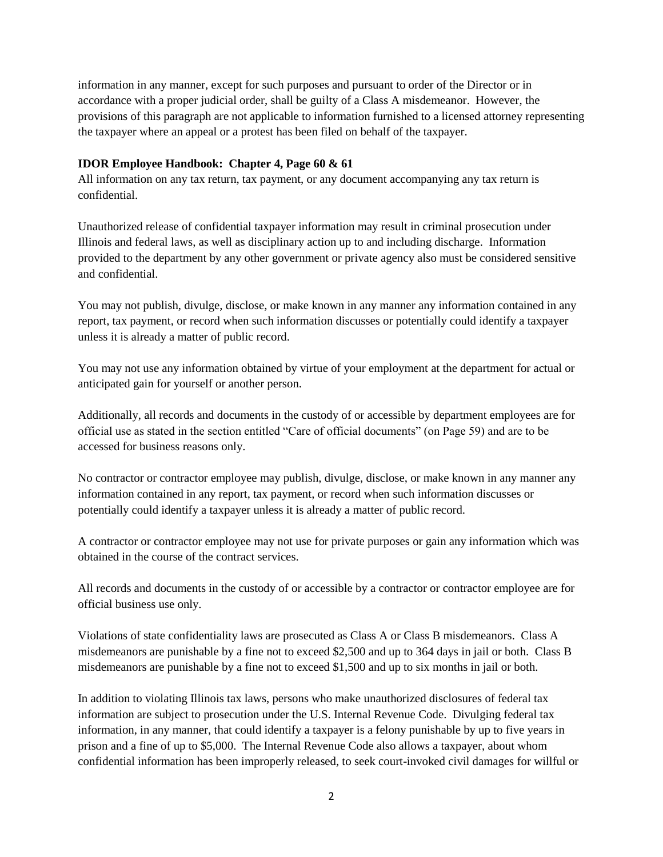information in any manner, except for such purposes and pursuant to order of the Director or in accordance with a proper judicial order, shall be guilty of a Class A misdemeanor. However, the provisions of this paragraph are not applicable to information furnished to a licensed attorney representing the taxpayer where an appeal or a protest has been filed on behalf of the taxpayer.

# **IDOR Employee Handbook: Chapter 4, Page 60 & 61**

All information on any tax return, tax payment, or any document accompanying any tax return is confidential.

Unauthorized release of confidential taxpayer information may result in criminal prosecution under Illinois and federal laws, as well as disciplinary action up to and including discharge. Information provided to the department by any other government or private agency also must be considered sensitive and confidential.

You may not publish, divulge, disclose, or make known in any manner any information contained in any report, tax payment, or record when such information discusses or potentially could identify a taxpayer unless it is already a matter of public record.

You may not use any information obtained by virtue of your employment at the department for actual or anticipated gain for yourself or another person.

Additionally, all records and documents in the custody of or accessible by department employees are for official use as stated in the section entitled "Care of official documents" (on Page 59) and are to be accessed for business reasons only.

No contractor or contractor employee may publish, divulge, disclose, or make known in any manner any information contained in any report, tax payment, or record when such information discusses or potentially could identify a taxpayer unless it is already a matter of public record.

A contractor or contractor employee may not use for private purposes or gain any information which was obtained in the course of the contract services.

All records and documents in the custody of or accessible by a contractor or contractor employee are for official business use only.

Violations of state confidentiality laws are prosecuted as Class A or Class B misdemeanors. Class A misdemeanors are punishable by a fine not to exceed \$2,500 and up to 364 days in jail or both. Class B misdemeanors are punishable by a fine not to exceed \$1,500 and up to six months in jail or both.

In addition to violating Illinois tax laws, persons who make unauthorized disclosures of federal tax information are subject to prosecution under the U.S. Internal Revenue Code. Divulging federal tax information, in any manner, that could identify a taxpayer is a felony punishable by up to five years in prison and a fine of up to \$5,000. The Internal Revenue Code also allows a taxpayer, about whom confidential information has been improperly released, to seek court-invoked civil damages for willful or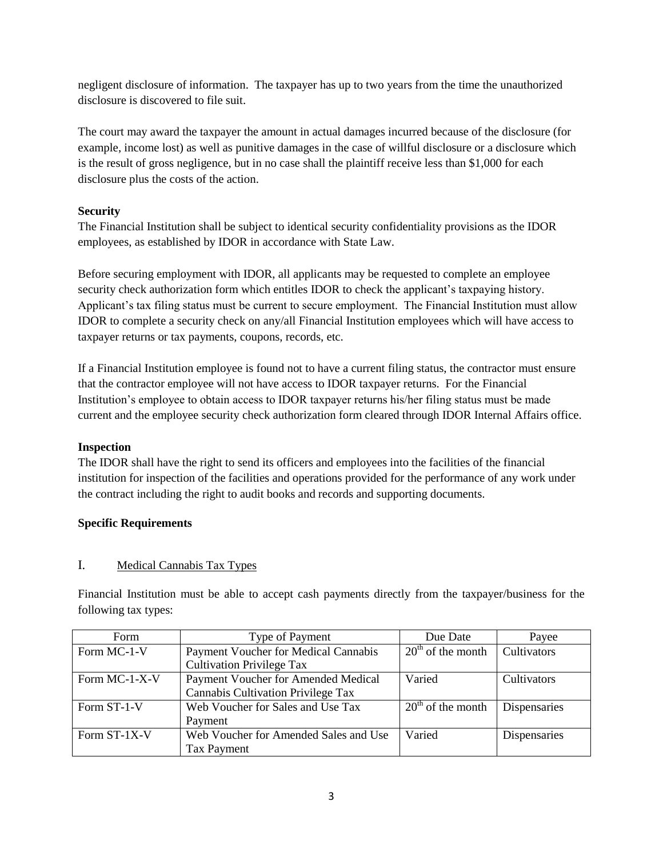negligent disclosure of information. The taxpayer has up to two years from the time the unauthorized disclosure is discovered to file suit.

The court may award the taxpayer the amount in actual damages incurred because of the disclosure (for example, income lost) as well as punitive damages in the case of willful disclosure or a disclosure which is the result of gross negligence, but in no case shall the plaintiff receive less than \$1,000 for each disclosure plus the costs of the action.

# **Security**

The Financial Institution shall be subject to identical security confidentiality provisions as the IDOR employees, as established by IDOR in accordance with State Law.

Before securing employment with IDOR, all applicants may be requested to complete an employee security check authorization form which entitles IDOR to check the applicant's taxpaying history. Applicant's tax filing status must be current to secure employment. The Financial Institution must allow IDOR to complete a security check on any/all Financial Institution employees which will have access to taxpayer returns or tax payments, coupons, records, etc.

If a Financial Institution employee is found not to have a current filing status, the contractor must ensure that the contractor employee will not have access to IDOR taxpayer returns. For the Financial Institution's employee to obtain access to IDOR taxpayer returns his/her filing status must be made current and the employee security check authorization form cleared through IDOR Internal Affairs office.

# **Inspection**

The IDOR shall have the right to send its officers and employees into the facilities of the financial institution for inspection of the facilities and operations provided for the performance of any work under the contract including the right to audit books and records and supporting documents.

# **Specific Requirements**

# I. Medical Cannabis Tax Types

Financial Institution must be able to accept cash payments directly from the taxpayer/business for the following tax types:

| Form          | Type of Payment                       | Due Date            | Payee        |
|---------------|---------------------------------------|---------------------|--------------|
| Form MC-1-V   | Payment Voucher for Medical Cannabis  | $20th$ of the month | Cultivators  |
|               | <b>Cultivation Privilege Tax</b>      |                     |              |
| Form MC-1-X-V | Payment Voucher for Amended Medical   | Varied              | Cultivators  |
|               | Cannabis Cultivation Privilege Tax    |                     |              |
| Form ST-1-V   | Web Voucher for Sales and Use Tax     | $20th$ of the month | Dispensaries |
|               | Payment                               |                     |              |
| Form ST-1X-V  | Web Voucher for Amended Sales and Use | Varied              | Dispensaries |
|               | Tax Payment                           |                     |              |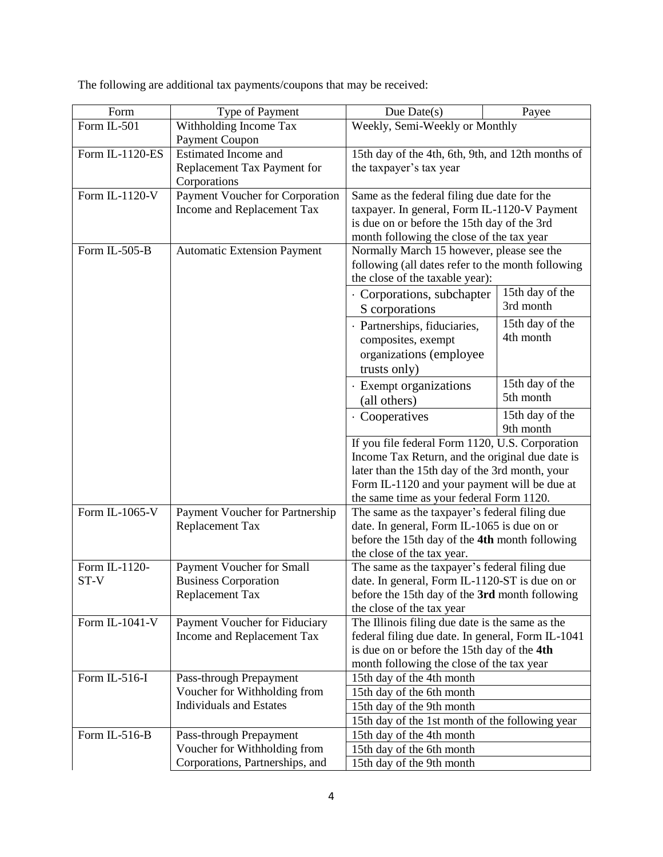The following are additional tax payments/coupons that may be received:

| Form            | Type of Payment                                      | Due Date $(s)$                                                                                                                                                                          | Payee           |  |
|-----------------|------------------------------------------------------|-----------------------------------------------------------------------------------------------------------------------------------------------------------------------------------------|-----------------|--|
| Form IL-501     | Withholding Income Tax                               | Weekly, Semi-Weekly or Monthly                                                                                                                                                          |                 |  |
|                 | Payment Coupon                                       |                                                                                                                                                                                         |                 |  |
| Form IL-1120-ES | Estimated Income and                                 | 15th day of the 4th, 6th, 9th, and 12th months of                                                                                                                                       |                 |  |
|                 | Replacement Tax Payment for                          | the taxpayer's tax year                                                                                                                                                                 |                 |  |
|                 | Corporations                                         |                                                                                                                                                                                         |                 |  |
| Form IL-1120-V  | Payment Voucher for Corporation                      | Same as the federal filing due date for the<br>taxpayer. In general, Form IL-1120-V Payment<br>is due on or before the 15th day of the 3rd<br>month following the close of the tax year |                 |  |
|                 | Income and Replacement Tax                           |                                                                                                                                                                                         |                 |  |
|                 |                                                      |                                                                                                                                                                                         |                 |  |
|                 |                                                      |                                                                                                                                                                                         |                 |  |
| Form IL-505-B   | <b>Automatic Extension Payment</b>                   | Normally March 15 however, please see the<br>following (all dates refer to the month following<br>the close of the taxable year):                                                       |                 |  |
|                 |                                                      |                                                                                                                                                                                         |                 |  |
|                 |                                                      |                                                                                                                                                                                         |                 |  |
|                 |                                                      | 15th day of the<br>· Corporations, subchapter                                                                                                                                           |                 |  |
|                 |                                                      | S corporations                                                                                                                                                                          | 3rd month       |  |
|                 |                                                      | · Partnerships, fiduciaries,                                                                                                                                                            | 15th day of the |  |
|                 |                                                      | composites, exempt                                                                                                                                                                      | 4th month       |  |
|                 |                                                      | organizations (employee                                                                                                                                                                 |                 |  |
|                 |                                                      | trusts only)                                                                                                                                                                            |                 |  |
|                 |                                                      | · Exempt organizations                                                                                                                                                                  | 15th day of the |  |
|                 |                                                      | (all others)                                                                                                                                                                            | 5th month       |  |
|                 |                                                      |                                                                                                                                                                                         |                 |  |
|                 |                                                      | 15th day of the<br>· Cooperatives<br>9th month<br>If you file federal Form 1120, U.S. Corporation<br>Income Tax Return, and the original due date is                                    |                 |  |
|                 |                                                      |                                                                                                                                                                                         |                 |  |
|                 |                                                      |                                                                                                                                                                                         |                 |  |
|                 |                                                      | later than the 15th day of the 3rd month, your                                                                                                                                          |                 |  |
|                 |                                                      | Form IL-1120 and your payment will be due at                                                                                                                                            |                 |  |
|                 |                                                      | the same time as your federal Form 1120.                                                                                                                                                |                 |  |
| Form IL-1065-V  | Payment Voucher for Partnership                      | The same as the taxpayer's federal filing due<br>date. In general, Form IL-1065 is due on or<br>before the 15th day of the 4th month following                                          |                 |  |
|                 | Replacement Tax                                      |                                                                                                                                                                                         |                 |  |
|                 |                                                      |                                                                                                                                                                                         |                 |  |
|                 |                                                      | the close of the tax year.                                                                                                                                                              |                 |  |
| Form IL-1120-   | Payment Voucher for Small                            | The same as the taxpayer's federal filing due<br>date. In general, Form IL-1120-ST is due on or<br>before the 15th day of the 3rd month following                                       |                 |  |
| ST-V            | <b>Business Corporation</b><br>Replacement Tax       |                                                                                                                                                                                         |                 |  |
|                 |                                                      |                                                                                                                                                                                         |                 |  |
| Form IL-1041-V  | Payment Voucher for Fiduciary                        | the close of the tax year<br>The Illinois filing due date is the same as the                                                                                                            |                 |  |
|                 | Income and Replacement Tax                           | federal filing due date. In general, Form IL-1041                                                                                                                                       |                 |  |
|                 |                                                      | is due on or before the 15th day of the 4th                                                                                                                                             |                 |  |
|                 |                                                      | month following the close of the tax year                                                                                                                                               |                 |  |
| Form IL-516-I   | Pass-through Prepayment                              | 15th day of the 4th month                                                                                                                                                               |                 |  |
|                 | Voucher for Withholding from                         | 15th day of the 6th month                                                                                                                                                               |                 |  |
|                 | <b>Individuals and Estates</b>                       | 15th day of the 9th month                                                                                                                                                               |                 |  |
|                 |                                                      | 15th day of the 1st month of the following year                                                                                                                                         |                 |  |
| Form IL-516-B   | 15th day of the 4th month<br>Pass-through Prepayment |                                                                                                                                                                                         |                 |  |
|                 | Voucher for Withholding from                         | 15th day of the 6th month                                                                                                                                                               |                 |  |
|                 | Corporations, Partnerships, and                      | 15th day of the 9th month                                                                                                                                                               |                 |  |
|                 |                                                      |                                                                                                                                                                                         |                 |  |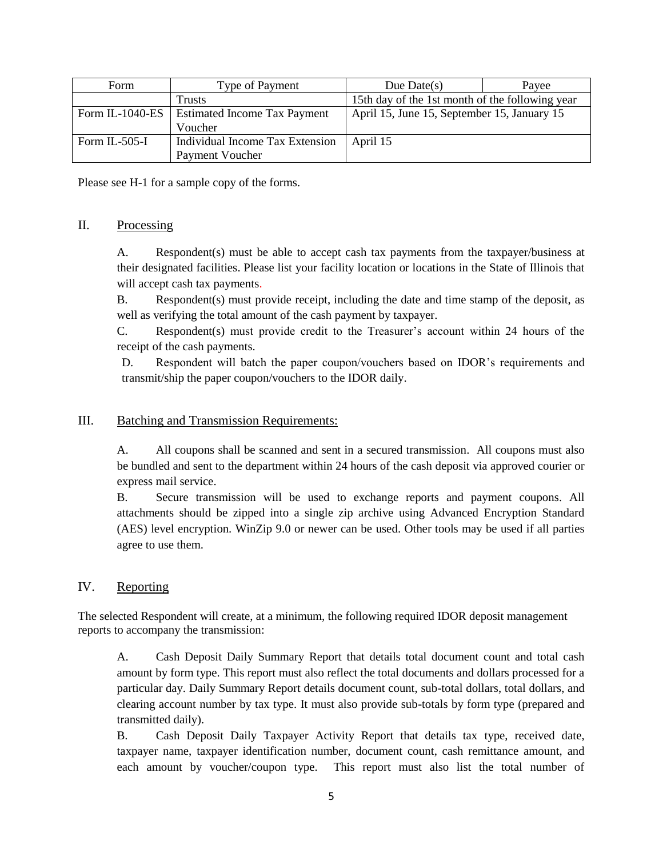| Form            | Type of Payment                     | Due Date $(s)$                                  | Payee |
|-----------------|-------------------------------------|-------------------------------------------------|-------|
|                 | <b>Trusts</b>                       | 15th day of the 1st month of the following year |       |
| Form IL-1040-ES | <b>Estimated Income Tax Payment</b> | April 15, June 15, September 15, January 15     |       |
|                 | Voucher                             |                                                 |       |
| Form IL-505-I   | Individual Income Tax Extension     | April 15                                        |       |
|                 | Payment Voucher                     |                                                 |       |

Please see H-1 for a sample copy of the forms.

#### II. Processing

A. Respondent(s) must be able to accept cash tax payments from the taxpayer/business at their designated facilities. Please list your facility location or locations in the State of Illinois that will accept cash tax payments.

B. Respondent(s) must provide receipt, including the date and time stamp of the deposit, as well as verifying the total amount of the cash payment by taxpayer.

C. Respondent(s) must provide credit to the Treasurer's account within 24 hours of the receipt of the cash payments.

D. Respondent will batch the paper coupon/vouchers based on IDOR's requirements and transmit/ship the paper coupon/vouchers to the IDOR daily.

# III. Batching and Transmission Requirements:

A. All coupons shall be scanned and sent in a secured transmission. All coupons must also be bundled and sent to the department within 24 hours of the cash deposit via approved courier or express mail service.

B. Secure transmission will be used to exchange reports and payment coupons. All attachments should be zipped into a single zip archive using Advanced Encryption Standard (AES) level encryption. WinZip 9.0 or newer can be used. Other tools may be used if all parties agree to use them.

# IV. Reporting

The selected Respondent will create, at a minimum, the following required IDOR deposit management reports to accompany the transmission:

A. Cash Deposit Daily Summary Report that details total document count and total cash amount by form type. This report must also reflect the total documents and dollars processed for a particular day. Daily Summary Report details document count, sub-total dollars, total dollars, and clearing account number by tax type. It must also provide sub-totals by form type (prepared and transmitted daily).

B. Cash Deposit Daily Taxpayer Activity Report that details tax type, received date, taxpayer name, taxpayer identification number, document count, cash remittance amount, and each amount by voucher/coupon type. This report must also list the total number of